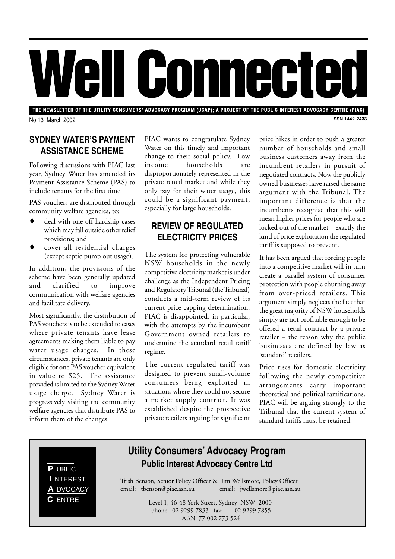# Well Comnected

THE NEWSLETTER OF THE UTILITY CONSUMERS' ADVOCACY PROGRAM (UCAP); A PROJECT OF THE PUBLIC INTEREST ADVOCACY CENTRE (PIAC) **ISSN 1442-2433** 

No 13 March 2002

### **SYDNEY WATER'S PAYMENT ASSISTANCE SCHEME**

Following discussions with PIAC last year, Sydney Water has amended its Payment Assistance Scheme (PAS) to include tenants for the first time.

PAS vouchers are distributed through community welfare agencies, to:

- deal with one-off hardship cases which may fall outside other relief provisions; and
- cover all residential charges (except septic pump out usage).

In addition, the provisions of the scheme have been generally updated and clarified to improve communication with welfare agencies and facilitate delivery.

Most significantly, the distribution of PAS vouchers is to be extended to cases where private tenants have lease agreements making them liable to pay water usage charges. In these circumstances, private tenants are only eligible for one PAS voucher equivalent in value to \$25. The assistance provided is limited to the Sydney Water usage charge. Sydney Water is progressively visiting the community welfare agencies that distribute PAS to inform them of the changes.

PIAC wants to congratulate Sydney Water on this timely and important change to their social policy. Low income households are disproportionately represented in the private rental market and while they only pay for their water usage, this could be a significant payment, especially for large households.

#### **REVIEW OF REGULATED ELECTRICITY PRICES**

The system for protecting vulnerable NSW households in the newly competitive electricity market is under challenge as the Independent Pricing and Regulatory Tribunal (the Tribunal) conducts a mid-term review of its current price capping determination. PIAC is disappointed, in particular, with the attempts by the incumbent Government owned retailers to undermine the standard retail tariff regime.

The current regulated tariff was designed to prevent small-volume consumers being exploited in situations where they could not secure a market supply contract. It was established despite the prospective private retailers arguing for significant

price hikes in order to push a greater number of households and small business customers away from the incumbent retailers in pursuit of negotiated contracts. Now the publicly owned businesses have raised the same argument with the Tribunal. The important difference is that the incumbents recognise that this will mean higher prices for people who are locked out of the market – exactly the kind of price exploitation the regulated tariff is supposed to prevent.

It has been argued that forcing people into a competitive market will in turn create a parallel system of consumer protection with people churning away from over-priced retailers. This argument simply neglects the fact that the great majority of NSW households simply are not profitable enough to be offered a retail contract by a private retailer – the reason why the public businesses are defined by law as 'standard' retailers.

Price rises for domestic electricity following the newly competitive arrangements carry important theoretical and political ramifications. PIAC will be arguing strongly to the Tribunal that the current system of standard tariffs must be retained.



# **Utility Consumers' Advocacy Program PUBLIC PUBLIC PUBLIC PUBLIC**

Trish Benson, Senior Policy Officer & Jim Wellsmore, Policy Officer email: tbenson@piac.asn.au email: jwellsmore@piac.asn.au

> Level 1, 46-48 York Street, Sydney NSW 2000 phone: 02 9299 7833 fax: 02 9299 7855 ABN 77 002 773 524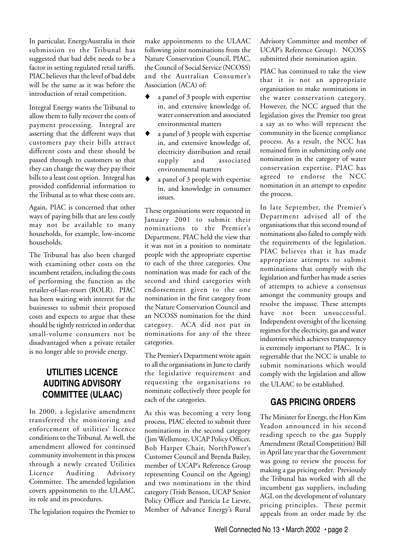In particular, EnergyAustralia in their submission to the Tribunal has suggested that bad debt needs to be a factor in setting regulated retail tariffs. PIAC believes that the level of bad debt will be the same as it was before the introduction of retail competition.

Integral Energy wants the Tribunal to allow them to fully recover the costs of payment processing. Integral are asserting that the different ways that customers pay their bills attract different costs and these should be passed through to customers so that they can change the way they pay their bills to a least cost option. Integral has provided confidential information to the Tribunal as to what these costs are.

Again, PIAC is concerned that other ways of paying bills that are less costly may not be available to many households, for example, low-income households.

The Tribunal has also been charged with examining other costs on the incumbent retailers, including the costs of performing the function as the retailer-of-last-resort (ROLR). PIAC has been waiting with interest for the businesses to submit their proposed costs and expects to argue that these should be tightly restricted in order that small-volume consumers not be disadvantaged when a private retailer is no longer able to provide energy.

# **UTILITIES LICENCE AUDITING ADVISORY COMMITTEE (ULAAC)**

In 2000, a legislative amendment transferred the monitoring and enforcement of utilities' licence conditions to the Tribunal. As well, the amendment allowed for continued community involvement in this process through a newly created Utilities Licence Auditing Advisory Committee. The amended legislation covers appointments to the ULAAC, its role and its procedures.

The legislation requires the Premier to

make appointments to the ULAAC following joint nominations from the Nature Conservation Council, PIAC, the Council of Social Service (NCOSS) and the Australian Consumer's Association (ACA) of:

- a panel of 3 people with expertise in, and extensive knowledge of, water conservation and associated environmental matters
- a panel of 3 people with expertise in, and extensive knowledge of, electricity distribution and retail supply and associated environmental matters
- a panel of 3 people with expertise in, and knowledge in consumer issues.

These organisations were requested in January 2001 to submit their nominations to the Premier's Department. PIAC held the view that it was not in a position to nominate people with the appropriate expertise to each of the three categories. One nomination was made for each of the second and third categories with endorsement given to the one nomination in the first category from the Nature Conservation Council and an NCOSS nomination for the third category. ACA did not put in nominations for any of the three categories.

The Premier's Department wrote again to all the organisations in June to clarify the legislative requirement and requesting the organisations to nominate collectively three people for each of the categories.

As this was becoming a very long process, PIAC elected to submit three nominations in the second category (Jim Wellsmore, UCAP Policy Officer, Bob Harper Chair, NorthPower's Customer Council and Brenda Bailey, member of UCAP's Reference Group representing Council on the Ageing) and two nominations in the third category (Trish Benson, UCAP Senior Policy Officer and Patricia Le Lievre, Member of Advance Energy's Rural

Advisory Committee and member of UCAP's Reference Group). NCOSS submitted their nomination again.

PIAC has continued to take the view that it is not an appropriate organisation to make nominations in the water conservation category. However, the NCC argued that the legislation gives the Premier too great a say as to who will represent the community in the licence compliance process. As a result, the NCC has remained firm in submitting only one nomination in the category of water conservation expertise. PIAC has agreed to endorse the NCC nomination in an attempt to expedite the process.

In late September, the Premier's Department advised all of the organisations that this second round of nominations also failed to comply with the requirements of the legislation. PIAC believes that it has made appropriate attempts to submit nominations that comply with the legislation and further has made a series of attempts to achieve a consensus amongst the community groups and resolve the impasse. These attempts have not been unsuccessful. Independent oversight of the licensing regimes for the electricity, gas and water industries which achieves transparency is extremely important to PIAC. It is regrettable that the NCC is unable to submit nominations which would comply with the legislation and allow the ULAAC to be established.

# **GAS PRICING ORDERS**

The Minister for Energy, the Hon Kim Yeadon announced in his second reading speech to the gas Supply Amendment (Retail Competition) Bill in April late year that the Government was going to review the process for making a gas pricing order. Previously the Tribunal has worked with all the incumbent gas suppliers, including AGL on the development of voluntary pricing principles. These permit appeals from an order made by the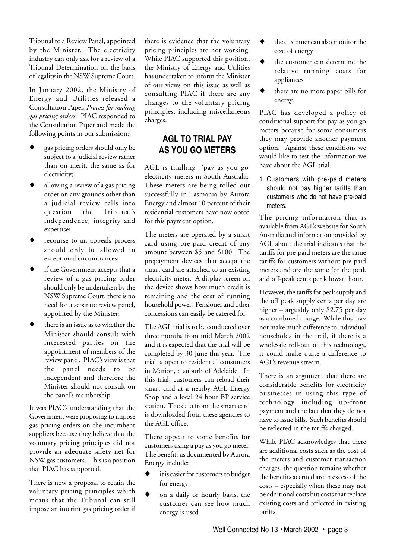Tribunal to a Review Panel, appointed by the Minister. The electricity industry can only ask for a review of a Tribunal Determination on the basis of legality in the NSW Supreme Court.

In January 2002, the Ministry of Energy and Utilities released a Consultation Paper, *Process for making gas pricing orders*. PIAC responded to the Consultation Paper and made the following points in our submission:

- gas pricing orders should only be subject to a judicial review rather than on merit, the same as for electricity;
- allowing a review of a gas pricing order on any grounds other than a judicial review calls into question the Tribunal's independence, integrity and expertise;
- recourse to an appeals process should only be allowed in exceptional circumstances;
- if the Government accepts that a review of a gas pricing order should only be undertaken by the NSW Supreme Court, there is no need for a separate review panel, appointed by the Minister;
- there is an issue as to whether the Minister should consult with interested parties on the appointment of members of the review panel. PIAC's view is that the panel needs to be independent and therefore the Minister should not consult on the panel's membership.

It was PIAC's understanding that the Government were proposing to impose gas pricing orders on the incumbent suppliers because they believe that the voluntary pricing principles did not provide an adequate safety net for NSW gas customers. This is a position that PIAC has supported.

There is now a proposal to retain the voluntary pricing principles which means that the Tribunal can still impose an interim gas pricing order if there is evidence that the voluntary pricing principles are not working. While PIAC supported this position, the Ministry of Energy and Utilities has undertaken to inform the Minister of our views on this issue as well as consulting PIAC if there are any changes to the voluntary pricing principles, including miscellaneous charges.

#### **AGL TO TRIAL PAY AS YOU GO METERS**

AGL is trialling 'pay as you go' electricity meters in South Australia. These meters are being rolled out successfully in Tasmania by Aurora Energy and almost 10 percent of their residential customers have now opted for this payment option.

The meters are operated by a smart card using pre-paid credit of any amount between \$5 and \$100. The prepayment devices that accept the smart card are attached to an existing electricity meter. A display screen on the device shows how much credit is remaining and the cost of running household power. Pensioner and other concessions can easily be catered for.

The AGL trial is to be conducted over three months from mid March 2002 and it is expected that the trial will be completed by 30 June this year. The trial is open to residential consumers in Marion, a suburb of Adelaide. In this trial, customers can reload their smart card at a nearby AGL Energy Shop and a local 24 hour BP service station. The data from the smart card is downloaded from these agencies to the AGL office.

There appear to some benefits for customers using a pay as you go meter. The benefits as documented by Aurora Energy include:

- it is easier for customers to budget for energy
- on a daily or hourly basis, the customer can see how much energy is used
- $\blacklozenge$  the customer can also monitor the cost of energy
- the customer can determine the relative running costs for appliances
- there are no more paper bills for energy.

PIAC has developed a policy of conditional support for pay as you go meters because for some consumers they may provide another payment option. Against these conditions we would like to test the information we have about the AGL trial.

1. Customers with pre-paid meters should not pay higher tariffs than customers who do not have pre-paid meters.

The pricing information that is available from AGL's website for South Australia and information provided by AGL about the trial indicates that the tariffs for pre-paid meters are the same tariffs for customers without pre-paid meters and are the same for the peak and off-peak cents per kilowatt hour.

However, the tariffs for peak supply and the off peak supply cents per day are higher – arguably only \$2.75 per day as a combined charge. While this may not make much difference to individual households in the trail, if there is a wholesale roll-out of this technology, it could make quite a difference to AGL's revenue stream.

There is an argument that there are considerable benefits for electricity businesses in using this type of technology including up-front payment and the fact that they do not have to issue bills. Such benefits should be reflected in the tariffs charged.

While PIAC acknowledges that there are additional costs such as the cost of the meters and customer transaction charges, the question remains whether the benefits accrued are in excess of the costs – especially when these may not be additional costs but costs that replace existing costs and reflected in existing tariffs.